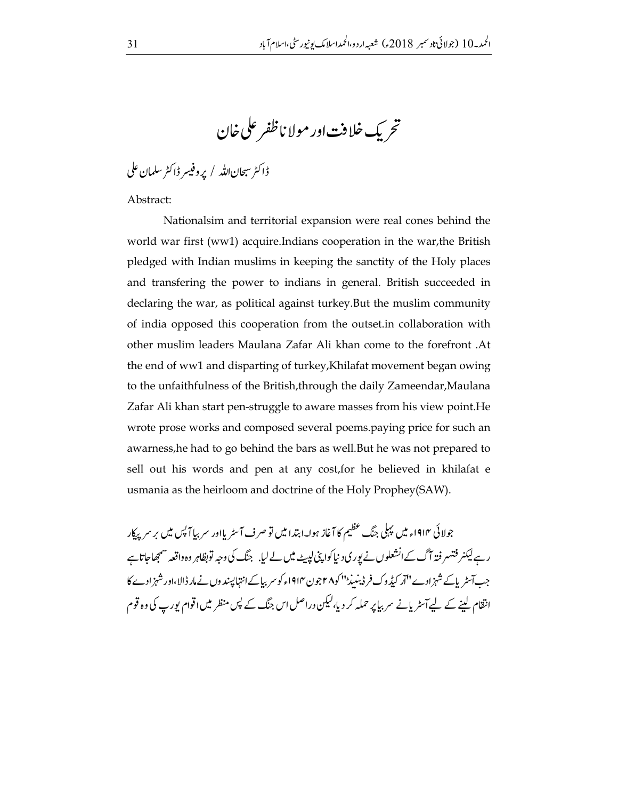تحريك خلافت اور مولا ناظفر على خان

ڈاکٹر سبحاناللہ / پروفیسر ڈاکٹر سلمان علی

Abstract:

Nationalsim and territorial expansion were real cones behind the world war first (ww1) acquire.Indians cooperation in the war, the British pledged with Indian muslims in keeping the sanctity of the Holy places and transfering the power to indians in general. British succeeded in declaring the war, as political against turkey. But the muslim community of india opposed this cooperation from the outset in collaboration with other muslim leaders Maulana Zafar Ali khan come to the forefront .At the end of ww1 and disparting of turkey, Khilafat movement began owing to the unfaithfulness of the British, through the daily Zameendar, Maulana Zafar Ali khan start pen-struggle to aware masses from his view point. He wrote prose works and composed several poems.paying price for such an awarness, he had to go behind the bars as well. But he was not prepared to sell out his words and pen at any cost, for he believed in khilafat e usmania as the heirloom and doctrine of the Holy Prophey(SAW).

جولائی ۱۹۱۴ء میں پہلی جنگ عظیم کا آغاز ہوا۔ابتدا میں تو صرف آسٹر یااور سربیا آپس میں برسر پیکار رہے لیکنر فتہیر فتہ آگ کےانشعلوں نے یور کی د نیاکوا پنی لیبیٹ میں لے لیا. جنگ کی وجہ توبظاہر وہ واقعہ سمجھاجاتاہے جب آسٹریاکے شہزادے ''آر کیڈ وک فر ڈینییڈ''اکو۲۸جون۱۹۱۴ء کو سربیاکےانتہا پسند وں نے مار ڈالا،اور شہزادے کا انتقام لینے کے لیےآسٹر پانے سر بیاپر حملہ کر دیا،لیکن دراصل اس جنگ کے پس منظر میں اقوام پورپ کی وہ قوم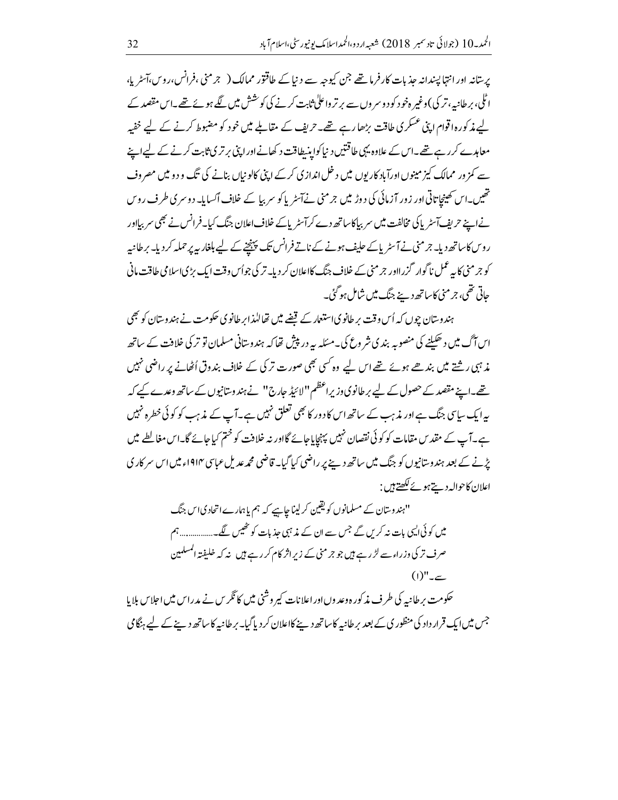پرستانہ اور انتہا پسندانہ حذیات کارفرما تھے جن کیوجہ سے دنیا کے طاقتور ممالک ( جرمنی ،فرانس،روس،آسٹر پا، اٹلی، برطانیہ، تر کی )وغیر ہخود کود وسر وں سے بر تر واعلٰی ثابت کرنے کی کوشش میں گئے ہوئے تھے۔اس مقصد کے لیے مذکورہ اقوام اپنی عسکر کی طاقت بڑھارہے تھے۔حریف کے مقابلے میں خود کو مضبوط کرنے کے لیے خفیہ معاہدے کررہے تھے۔اس کے علاوہ یہی طاقتیں د نیا کواینیطاقت د کھانےاور اپنی برتری ثابت کرنے کے لیےاپنے سے کمز ور ممالک کیز مینوں اورآباد کاریوں میں د خل انداز ی کرکے اپنی کالو نیاں بنانے کی تگ و دو میں مصروف تھیں۔اس کھینچاتاتی اور زور آزمائی کی دوڑ میں جرمنی نےآسٹر پاکو سربیا کے خلاف آکسایا۔ دوسری طرف روس نےاپنے حریف آسٹر پاکی مخالفت میں سر بیاکاساتھ دے کرآسٹر پاکے خلاف اعلان جنگ کیا۔فرانس نے بھی سر بیااور روس کاساتھ دیا۔ جرمنی نے آسٹر پاکے حلیف ہونے کے ناتے فرانس تک پہنچنے کے لیے بلغار پہ پر حملہ کر دیا۔ برطانیہ کو جرمنی کا بہ عمل ناگوار گزرااور جرمنی کے خلاف جنگ کااعلان کر دیا۔تر کی جواُس وقت ایک بڑیاسلامی طاقت مانی جاتی تھی، جرمنی کاساتھ دینے جنگ میں شامل ہوگئ۔

ہندوستان چوں کہ اُس وقت پر طانوی استعمار کے قضے میں تھالیٰذابر طانوی حکومت نے ہندوستان کو بھی اس آگ میں د ھکننے کی منصوبہ بند کی شر وع کی۔مسکلہ یہ در پپش تھا کہ ہندوستانی مسلمان تو تر کی خلافت کے ساتھ مذ ہی رشتے میں بند ھے ہوئے تھے اس لیے وہ کسی بھی صورت تر کی کے خلاف بندوق اُٹھانے پر راضی نہیں تھے۔اپنے مقصد کے حصول کے لیے بر طانوی وزیراعظم ''لائیڈ جارج'' نے ہند وسانیوں کے ساتھ وعدے کیے کہ بہ ایک سای جنگ ہے اور مذہب کے ساتھ اس کا دور کا بھی تعلق نہیں ہے۔آپ کے مذہب کو کوئی خطرہ نہیں ہے۔آپ کے مقد س مقامات کو کوئی نقصان نہیں پہنچایاجائے گااور نہ خلافت کو ختم کیاجائے گا۔اس مغالطے میں پڑنے کے بعد ہندوستانیوں کو جنگ میں ساتھ دے پر راضی کیا گیا۔ قاضی محمدعد یل عباسی ۱۹۱۴ء میں اس سر کار ی اعلان كاحواله دينے ہوئے لکھتے ہيں :

> ''ہندوستان کے مسلمانوں کو یقین کر لیناچاہیے کہ ہم یا ہمارے اتحاد کیاس جنگ میں کوئی ایسی بات نہ کریں گے جس سے ان کے مذہبی حذبات کو ٹھیس لگے۔................. ہم صرف تر کی وزراء سے لڑ رہے ہیں جو جرمنی کے زیراثر کام کر رہے ہیں نہ کہ خلیفتہ المسلمین  $(1)"_{-\sim}$

حکومت بر طانیہ کی طرف مذکورہ وعد وں اور اعلانات کیر وشنی میں کا ٹکریں نے مدراس میں اجلاس بلایا جس میں ایک قرار داد کی منظور پی کے بعد پر طانیہ کا ساتھ دینے کااعلان کر دیاگیا۔ پر طانیہ کاساتھ دینے کے لیے ہٹگامی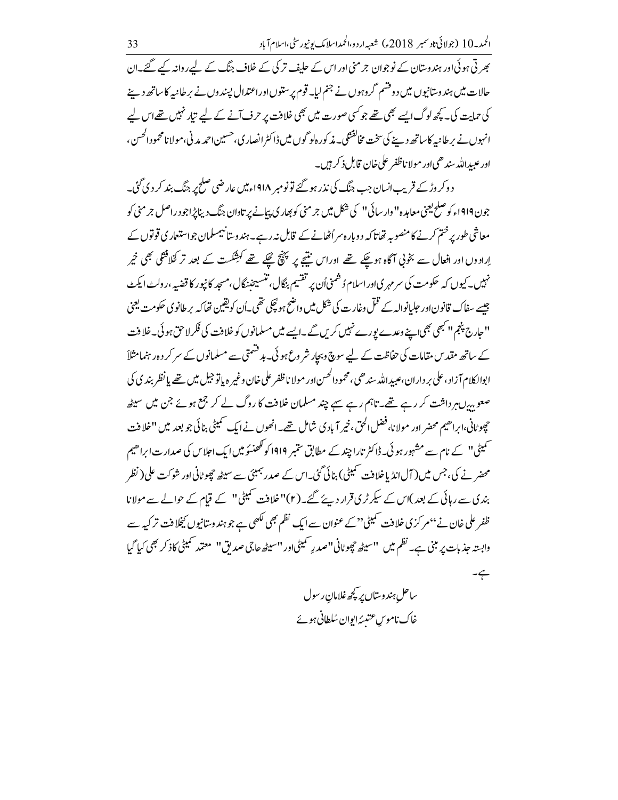بھر تی ہو ئی اور ہندوستان کے نوجوان جرمنی اور اس کے حلیف تر کی کے خلاف جنگ کے لیے روانہ کیے گئے۔ان حالات میں ہندوستانیوں میں دوقشم گروہوں نے جنم لیا۔ قوم پر ستوںاوراعتدال پسند وں نے برطانیہ کاساتھ دینے کی حمایت کی۔ کچھ لوگ ایسے بھی تھے جو کسی صورت میں بھی خلافت پر حرف آنے کے لیے تیار نہیں تھےاس لیے انہوں نے برطانیہ کاساتھ دینے کی سخت مخالفتگی۔ مذکور ہلو گوں میں ڈاکٹر انصار کی،حسین احمد مدنی،مولا نامحمودالحسن، اور عبیدالله سندھی اور مولا ناظفر علی خان قابل ذکر ہیں۔

د وکر وڑ کے قریب انسان جب جنگ کی نذر ہو گئے تو نومبر ۱۹۱۸ءمیں عارضی صلح پر جنگ بند کر دی گئی۔ جون ۱۹۱۹ء کو صلح یعنی معاہدہ" دار سائی" کی شکل میں جرمنی کو بھار کی پہانے پر تاوان جنگ دیناپڑاجو د راصل جرمنی کو معاشی طور پر ختم کرنے کا منصوبہ تھاتا کہ دو بارہ سراُٹھانے کے قابل نہ رہے۔ہندوستانیمسلمان جواستعمار ی قوتوں کے اِرادوں اور افعال سے بخوتی آگاہ ہوچکے تھے اوراس منتیجے پر پہنچ گیکے تھے کہشکست کے بعد تر کخلافتگی بھی خیر نہیں۔ کیوں کہ حکومت کی سر مہری اور اسلام ڈشمنی اُن پر تقسیم بنگال، تنسیحنہ نگال،مسجد کانپور کا قضیہ ،رولٹ ایکٹ جیسے سفاک قانون اور حلیانوالہ کے قتل وغارت کی شکل میں واضح ہو پچکی تھی۔اُن کو یقین تھا کہ پر طانوی حکومت یعنی '' حارج پنجم'' کبھی بھی اپنے وعدے پورے نہیں کریں گے ۔ایسے میں مسلمانوں کو خلافت کی فکر لاحق ہو ئی۔خلافت کے ساتھ مقد س مقامات کی حفاظت کے لیے سوچ وبجار شر وع ہو ئی۔ ہد قسمتی سے مسلمانوں کے سر کر د ہ رہنمامثلاً ابوالکلام آزاد ،علی بر داران ،عیبدالله سند هی،محمودالحسن اور مولا ناظفر علی خان وغیر ه باتوجیل میں تھے یا نظر بند ی کی صعوبہ بیں ہر داشت کر رہے تھے۔تاہم رہے سے چند مسلمان خلافت کا روگ لے کر جمع ہوئے جن میں سیٹھ حچوٹانی،ابراھیم محضر اور مولانا،فضل الحق، خیر آبادی شامل <u>تھ</u>ے۔انھوں نے ایک <sup>س</sup>میٹی بنائی جو بعد میں ''خلافت ۔<br>سمیٹی'' کے نام سے مشہور ہو ئی۔ڈاکٹر تارا چند کے مطابق سمبر 1919 کو گھنسو میں ایک اجلاس کی صدار ت ابراھیم محضر نے کی، جس میں ( آل انڈیا خلافت سمیٹی) بنائی گئی۔اس کے صدر جمبئی سے سیٹھ چھوٹانی اور شو کت علی( نظر بندی سے رہائی کے بعد )اس کے سیکرٹری قرار دیئے گئے۔(۲)''خلافت کمیٹی'' کے قیام کے حوالے سے مولانا ظفر علی خان نے ''مرکز کی خلافت <sup>حم</sup>میٹی'' کے عنوان سے ایک نظم بھی لکھی ہے جو ہند وستانیوں کچخلافت تر کیہ سے وابستہ جذبات پر مبنی ہے۔ نظم میں ''سیٹھ چھوٹانی''صدرِ سمیٹی اور ''سیٹھ جاجی صدیق'' معتمد سمیٹی کاذ کر بھی کیا گیا  $-\xi$ 

ساحل ہندوستاں پر کچھ غلامان ر سول خاک ناموس عتیبئہ ایوان سُلطانی ہوئے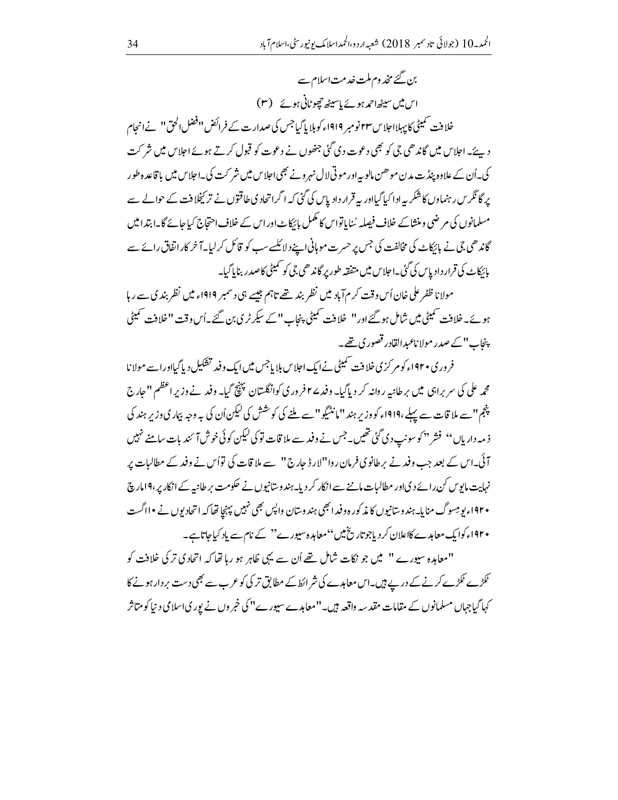بن گئے مخد وم ملت خدمت اسلام سے اس میں سیٹھاحمہ ہوئے پاسپیٹھ چھوٹانی ہوئے (۳) خلافت تمیٹی کاپہلااجلاس ۲۳نومبر ۱۹۱۹ءکوبلا پاگیاجس کی صدارت کے فرائض ''فضل الحق'' نےانجام د یئے۔اجلاس میں گاندھی جی کو بھی دعوت دی گئی جنھوں نے دعوت کو قبول کرتے ہوئے اجلاس میں شر کت کی۔اُن کے علاوہ پنڈت مدن موھن مالو بہ اور موتی لال نہرونے بھی اجلاس میں شر کت کی۔اجلاس میں با قاعد ہ طور یر گا ٹکر س رہنماوں کا شکر یہ ادا کیا گیااور یہ قرار دادیاس کی گئی کہ اگراتحاد کی طاقتوں نے تر کیخلافت کے حوالے سے مسلمانوں کی مرضی و منشاکے خلاف فیصلہ سُنایاتواس کا مکمل بائرکاٹ اور اس کے خلاف احتجاج کیا جائے گا۔ابتدا میں گاندھی جی نے بائیکاٹ کی مخالفت کی جس پر حسرت موہانی اپنے دلائلسے سب کو قائل کر لیا۔آخر کار اتفاق رائے سے بائرکاٹ کی قرار دادیاس کی گئی۔احلاس میں متفقہ طور پر گاندھی جی کو سمیٹی کاصدر ربنایاگیا۔

مولانا ظفر علی خان اُس وقت کرم آباد میں نظر بند تھے تاہم جیسے ہی دسمبر ۱۹۱۹ء میں نظر بندی سے رہا ہوئے۔خلافت سمیٹی میں شامل ہو گئےاور '' خلافت سمیٹی پنجاب '' کے سیکرٹری بن گئے۔اُس وقت ''خلافت سمیٹی پنجاب" کے صدر مولا ناعبدالقادر قصور ک<u>ی تھ</u>ے۔

فر وری • ۹۲اء کو مرکز ی خلافت سمیٹی نے ایک اجلاس بلا یاجس میں ایک وفید تفکیل دیا گیااور اسے مولا نا محمه علی کی سربراہی میں برطانیہ روانہ کر دیاگیا۔ وفدے۲ فروری کوانگلستان پہنچ گیا۔ وفد نےوزیر اعظم ''جارج پنجم" سے ملا قات سے پہلے ،۱۹۱۹ء کو وزیر ہند" مانٹیگو" سے ملنے کی کوشش کی لیکن اُن کی یہ وجہ بہاری وزیر ہند کی ذ مہ داریاں'' فشر <sup>دی</sup>کو سونپ دی گئی تھیں۔جس نے وفد سے ملا قات تو کی کیکن کو ئی خوش آ <sup>س</sup>ند بات سامنے نہیں آئی۔اس کے بعد جب وفد نے پر طانوی فرمان روا"لارڈ جارج" سے ملا قات کی توأس نے وفد کے مطالبات پر نہایت مایوس کن رائے دیااور مطالبات ماننے سے انکار کر دیا۔ہندوستانیوں نے حکومت بر طانیہ کے انکار پر،۹۱مارچ ۱۹۲۰ء یو مِسوگ منابا۔ہندوستانیوں کا مذکورہ وفیدا بھی ہندوستان واپس بھی نہیں پہنچا تھا کہ اتحادیوں نے •ااگست • ۱۹۲۰ء کوایک معاہدے کااعلان کر دیاجوتار بخ<sup>ی</sup>یں''معاہدہ سیورے'' کے نام سے پاد کیاجاتاہے۔

"معاہدہ سپورے " میں جو نکات شامل تھے اُن سے یہی ظاہر ہو رہا تھا کہ اتحاد کی تر کی خلافت کو ٹکڑے ٹکڑے کرنے کے دریے ہیں۔اس معاہدے کی شر ائط کے مطابق تر کی کو عرب سے بھی دست بر دار ہونے کا کہاگیاجہاں مسلمانوں کے مقامات مقدسہ واقعہ ہیں۔''معامدے سیورے'' کی خمر وں نے پوری اسلامی د نیا کو متاثر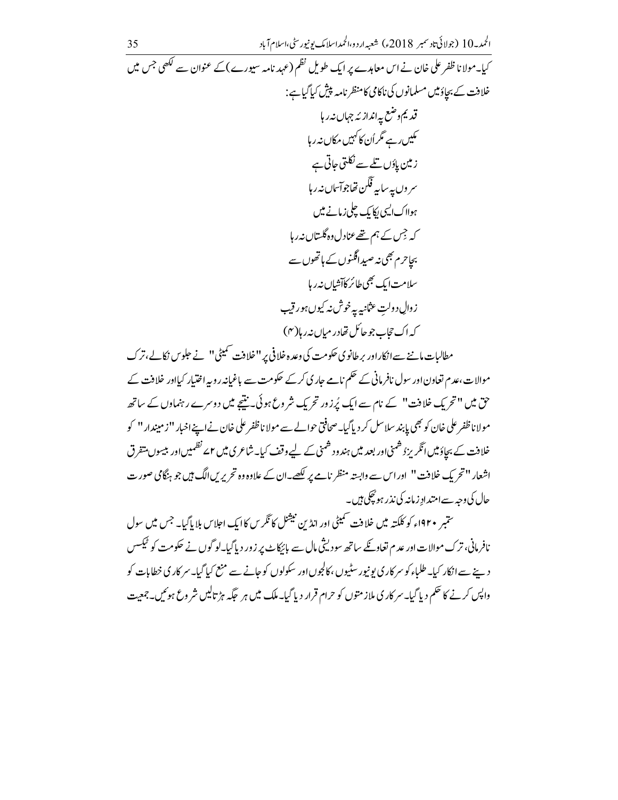موالات،عدم تعاون اور سول نافر مانی کے حکم نامے جاری کرکے حکومت سے باغیانہ روپہ اختیار کیااور خلافت کے حق میں " تحریکِ خلافت" کے نام سے ایک پُرزور تحریکِ شروعِ ہو ئی۔ بنیچے میں دوسرے رہنماوں کے ساتھ مولاناظفر على خان کو بھی پابند سلاسل کر دیاگیا۔صحافتی حوالے سے مولا ناظفر علی خان نے اپنےاخبار ''ز میندار '' کو خلافت کے بجاؤمیں انگریزڈ شمنی اور بعد میں ہندود شمنی کے لیے وقف کیا۔شاعری میں ۲<sub>م</sub> نظمیں اور بیسوں متقرق اشعار ''تحريك خلافت'' اوراس سے وابستہ منظر نامے پر لکھے۔ان کے علاوہ وہ تحریریں الگ ہیں جو ہنگامی صورت حال کی وجہ سےامتدادِ زمانہ کی نذر ہو گچکی ہیں۔

ستمبر ۱۹۲۰ء کو کلکتہ میں خلافت سمیٹی اور انڈین نیشنل کا ٹکریں کاایک اجلاس بلایا گیا۔ جس میں سول نافرمانی، ترک موالات اور عدم تعاویے ساتھ سودیشی مال سے بائیکاٹ پر زور دیاگیا۔لوگوں نے حکومت کو ٹیکسس د ہے سے انکار کیا۔طلباء کو سر کار کی یونیور سٹیوں ،کالجوں اور سکولوں کو جانے سے منع کیا گیا۔ سر کار کی خطابات کو واپس کرنے کا حکم دیا گیا۔سر کار کی ملاز متوں کو حرام قرار دیا گیا۔ملک میں ہر حکّہ ہڑ تالیں شر وع ہوئیں۔جمعیت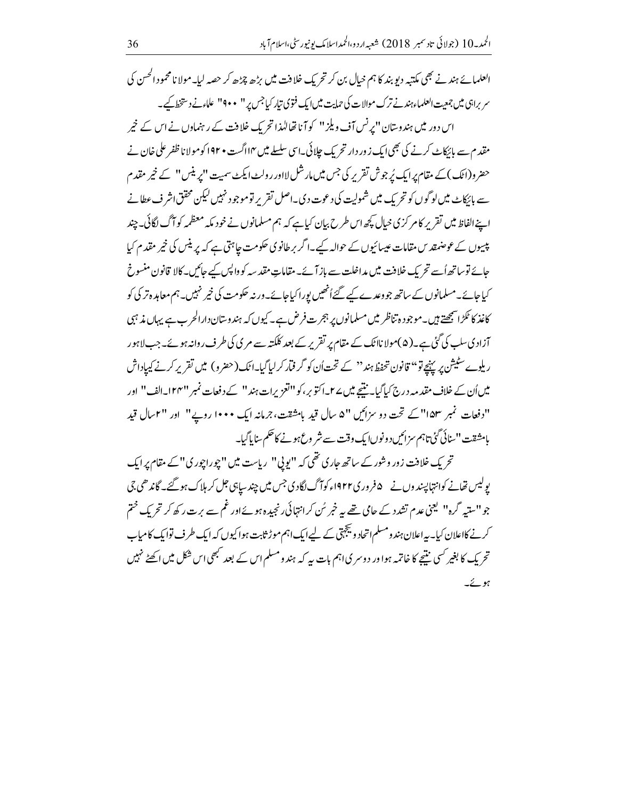ا<sup>لعل</sup>مائے ہند نے بھی مکتبہ دیو بند کا ہم خیال بن کر تحریک خلافت میں بڑھ چڑھ کر حصہ لیا۔مولا نامحمود ا<sup>کھ</sup>س کی سر براہی میں جمعت العلماء ہندنے ترک موالات کی حمایت میں ایک فتوی تیار کیا جس پر '' • • 9'' علاءنے د ستخط کیے اس دور میں ہندوستان ''پرنس آف ویلز '' کو آنا تھالہٰذا تحریک خلافت کے رہنماوں نے اس کے خیر مقدم سے بائکاٹ کرنے کی بھی ایک زور دار تحریک چلائی۔اسی سلسلے میں ۱۴اگست • ۱۹۲ کومولا نا ظفر علی خان نے حضر و(اٹک) کے مقام پرایک پُر جوش تقریر کی جس میں مارشل لااور رولٹ ایکٹ سمیت "پرینس" کے خیر مقدم سے بائکاٹ میں لوگوں کو تحریک میں شمولیت کی دعوت دی۔اصل تقریر تو موجود نہیں لیکن محقق اشر ف عطانے اپنےالفاظ میں تقریر کا مرکز پی خیال کچھ اس طرح بیان کیا ہے کہ ہم مسلمانوں نے خود مکہ معظمہ کوآگ لگائی۔چند پیسوں کے عوصنمقد س مقامات عیسائیوں کے حوالہ کیے۔اگر برطانوی حکومت جاہتی ہے کہ پر ینس کی خیر مقدم کیا جائے توساتھ اُسے تحریک خلافت میں مداخلت سے باز آئے۔مقاماتِ مقدسہ کوواپس کیے جائیں۔کالا قانون منسوخ کیاجائے۔مسلمانوں کے ساتھ جو دعدے کیے گئےاُنھیں پوراکیاجائے۔ورنہ حکومت کی خیر نہیں۔ہم معاہدہ تر کی کو کاغذ کا ٹکڑا سمجھتے ہیں۔موجودہ تناظر میں مسلمانوں پر ہجرت فرض ہے۔کیوں کہ ہندوستان دارالحرب ہے یہاں مذہبی آزادی سلب کی گئی ہے۔(۵)مولا نااٹک کے مقام پر تقریر کے بعد کلکتہ سے مری کی طرف روانہ ہوئے۔جب لاہور ریلوے سٹیشن پر پہنچے تو'' قانون تحفظ ہند'' کے تحت اُن کو گر فیار کر لیاگیا۔اٹک(حضرو) میں تقریر کرنے کیپاداش میں اُن کے خلاف مقد مہ درج کیا گیا۔ نتیجے میں ے ۲۔اکتوبر، کو''اتعزیرات ہند'' کے دفعات نمبر ''۲۴۷۔الف" اور "دفعات نمبر ۱۵۳"کے تحت دو سزائیں "۵ سال قید بامشقت، جرمانہ ایک ۱۰۰۰ روپے" اور "۲سال قید بامشقت ''سائی گئی'تاہم سزائیں دونوںا یک وقت سے شر وع ہونے کا حکم سایا گیا۔

تحریک خلافت زور وشور کے ساتھ جاری تھی کہ "ایوپی" ریاست میں "چوراچوری" کے مقام پر ایک یولیس تھانے کوانتہا پسند وں نے ۵فرور ی۱۹۲۲ء کوآگ لگاد کی جس میں چند سیاہی جل کر ہلاک ہو گئے۔ گاند ھی جی جو''ستیہ گرہ'' لیمنی عدم تشدد کے حامی تھے یہ خبر سُ کرانتہائی رنجیدہ ہوئے اور غم سے برت رکھ کر تحریک ختم کرنے کااعلان کیا۔ یہ اعلان ہندومسلم اتحاد ویجہتی کے لیے ایک اہم موڑ ثابت ہواکیوں کہ ایک طرف توایک کامیاب تحریک کا بغیر کسی نتیجے کا خاتمہ ہوا ور دوسر پیااہم بات یہ کہ ہندو مسلم اس کے بعد مبھی اس شکل میں اکھٹے نہیں ہوئے۔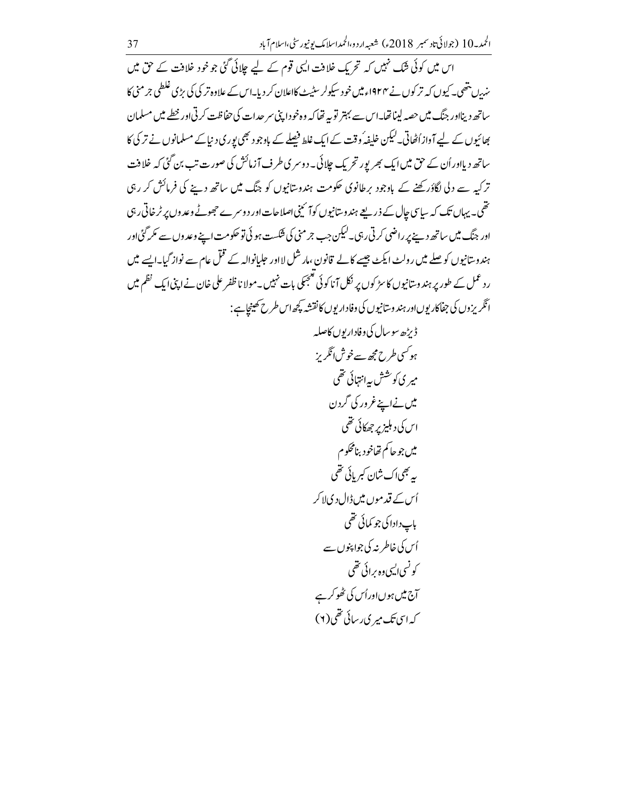اس میں کوئی شک نہیں کہ تحریک خلافت ای<sub>ک</sub> قوم کے لیے چلائی گئی جو خود خلافت کے حق میں ین ستھی۔ کیوں کہ تر کوں نے ۱۹۲۴ء میں خو د سیکولر سٹیٹ کااعلان کر دیا۔اس کے علاوہ تر کی کی بڑی غلطی جرمنی کا ساتھ دینااور جنگ میں حصہ لیناتھا۔اس سے بہتر توبہ تھا کہ وہ خود اپنی سر حدات کی حفاظت کرتی اور خطے میں مسلمان بھائیوں کے لیے آ واز اُٹھاتی۔کیکن خلیفہ ُ وقت کے ایک غلط فیصلے کے باوجو د بھی بور ی د نیا کے مسلمانوں نے تر کی کا ساتھ دیااور اُن کے حق میں ایک بھر پور تحریک چلائی۔ دوسر ی طرف آزمائش کی صورت تب بن گئی کہ خلافت تر کیہ سے دلی لگاؤر کھنے کے باوجود برطانوی حکومت ہندوستانیوں کو جنگ میں ساتھ دینے کی فرمائش کر رہی تھی۔ یہاں تک کہ سایپ چال کے ذریعے ہندوستانیوں کوآ نہیں اصلاحات اور د وسرے حجھوٹے وعد وں پر ٹر خاتی رہی اور جنگ میں ساتھ دینے پر راضی کرتی رہی۔لیکن جب جرمنی کی فنکست ہو ئی تو حکومت اپنے وعد وں سے مکر گئی اور ہند وستانیوں کو صلے میں رولٹ ایکٹ جیسے کالے قانون ،مارشل لا اور حلیانوالہ کے قتل عام سے نواز گیا۔ایسے میں ر د عمل کے طور پر ہندوستانیوں کا سڑ کوں پر نکل آ ناکوئی تعجیکی بات نہیں۔مولا ناظفر علی خان نے اپنی ایک نظم میں ائگریزوں کی جفاکاریوںاور ہندوستانیوں کی وفاداریوں کانقشہ کچھ اس طرح کھینجاہے :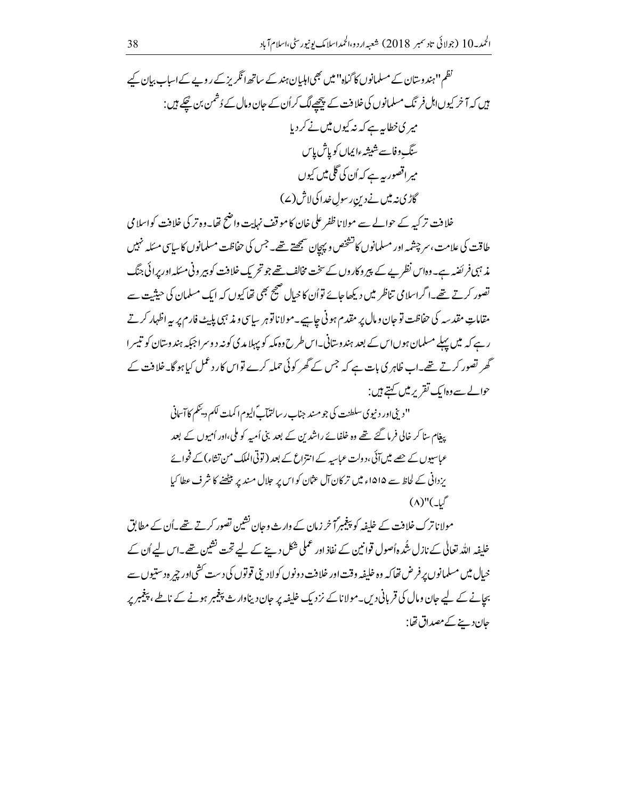نظم ''ہندوستان کے مسلمانوں کا گناہ'' میں بھی اہلیان ہند کے ساتھ انگریز کے روپے کے اساب بیان کیے ہیں کہ آخر کیوںاہل فر نگ مسلمانوں کی خلافت کے پیچھپے لگ کراُن کے جان ومال کے دُشمن بن پھکے ہیں : میر کی خطابیہ ہے کہ نہ کیوں میں نے کر دیا سنگ د فاسے شیشہءایماں کو پاش پاس میر اقصور بیہ ہے کہ اُن کی گلی میں کیوں گاڑی: میں نے دیں رسول خدا کی لاش (ے)

خلافت تر کیہ کے حوالے سے مولانا ظفر علی خان کا موقف نہایت واضح تھا۔وہ تر کی خلافت کواسلامی طاقت کی علامت، سر چشمہ اور مسلمانوں کاتشخص و پیچان سمجھتے تھے۔جس کی حفاظت مسلمانوں کا سایپ مسئلہ نہیں مذ ہبی فر ئضہ ہے۔وہاس نظریے کے پیر وکاروں کے سخت مخالف تھے جو تحریک خلافت کو بیر ونی مسئلہ اور پرائی جنگ تصور کرتے تھے۔اگراسلامی تناظر میں دیکھاجائے تواُن کا خیال صحیح بھی تھا کیوں کہ ایک مسلمان کی حیثیت سے مقاماتِ مقدسہ کی حفاظت تو جان و مال پر مقدم ہونی جاہیے۔مولا ناتو ہر سیاسی و مذہبی پلیٹ فارم پر پہ اظہار کرتے رہے کہ میں پہلے مسلمان ہوںاس کے بعد ہندوستانی۔اس طرح وہ مکہ کو پہلا مدی کونہ دوسرا جبکہ ہندوستان کو تیسرا گھر تصور کرتے تھے۔اب ظاہر کی بات ہے کہ جس کے گھر کوئی حملہ کرے تواس کار دعمل کیا ہو گا۔خلافت کے حوالے سے وہایک تقریر میں کہتے ہیں :

> " دېني اور د نيوې سلطنت کې جو مىند جناب ر سالتمآب ٌاليوم ا کمات لکم ديىمگم كا آسانى یغام سنا کر خالی فرما گئے تھے وہ خلفائے راشدین کے بعد بنی اُمیہ کو ملی،اور اُمیوں کے بعد عباسبوں کے چھے میں آئی،دولت عباسیہ کے انتزاع کے بعد (توٹی الملک من تشاء) کے فحوائے یزدانی کے لحاظ سے ۱۵۱۵ء میں تر کان آل عثان کو اس پر حلال مند پر بیٹھنے کا شرف عطا کیا  $(\Lambda)''(\downarrow\stackrel{\circ}{\mathcal{I}})$

مولا ناترک خلافت کے خلیفہ کو پیغیبراً خر زمان کے وارث وحان نشین تصور کرتے تھے۔اُن کے مطابق خلیفہ اللہ تعالٰی کے نازل شُدہ اُصول قوانین کے نفاذ اور عملی شکل دینے کے لیے تحت نشین تھے۔اس لیے اُن کے بحانے کے لیے جان ومال کی قربانی دیں۔مولا ناکے نزد یک خلیفہ پر جان دیناوارث پیغیبر ہونے کے ناطے ، پیغیبر پر حان دینے کے مصداق تھا: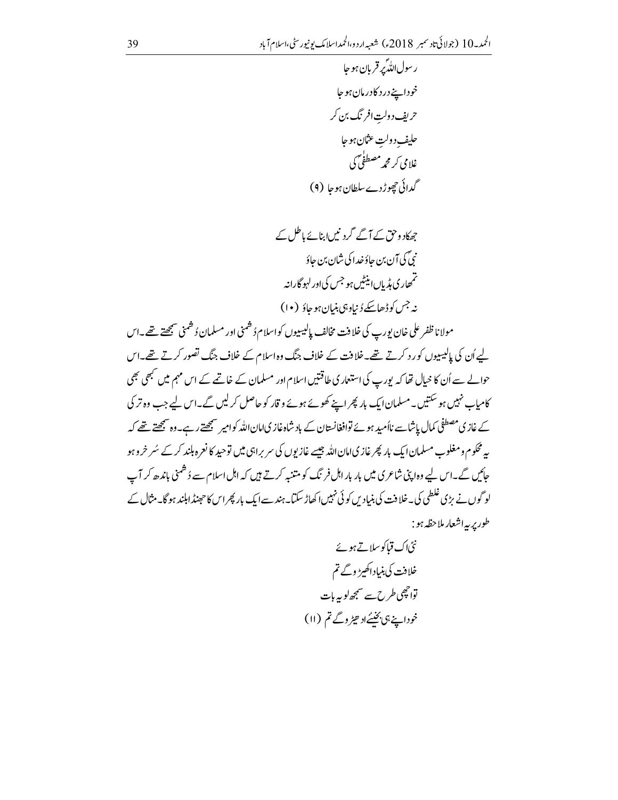مولانا ظفر على خان بورپ كى خلافت مخالف پإلىيىيوں كواسلام دُشمنى اور مسلمان دُشمنى سمجھتے تھے۔اس لیے اُن کی پالیسیوں کو رد کرتے تھے۔خلافت کے خلاف جنگ وہ اسلام کے خلاف جنگ تصور کرتے تھے۔اس حوالے سے اُن کا خیال تھا کہ پورپ کی استعمار کی طاقتیں اسلام اور مسلمان کے خاتمے کے اس مہم میں سبھی بھی کامیاب نہیں ہو سکتیں۔مسلمان ایک بار پھراپنے کھونے ہوئے و قار کو حاصل کر لیں گے۔اس لیے جب وہ تر کی ے غازی مصطفی کمال پاشاسے نااُمید ہوئے توافغانستان کے باد شاہ غازیامان اللہ کوامیر سمجھتے رہے۔وہ سمجھتے تھے کہ په محکوم ومغلوب مسلمان ایک بار پھر غازی امان الله جیسے غازیوں کی سربراہی میں توحید کا نعرہ ہلند کر کے سُر خروہو جائیں گے۔اس لیے وہ اپنی شاعری میں بار بار اہل فرنگ کو متنبہ کرتے ہیں کہ اہل اسلام سے دُشمنی باندھ کر آپ لوگوں نے بڑی غلطی کی۔خلافت کی بنیادیں کوئی نہیں اکھاڑ سکتا۔ہند سے ایک بار پھراس کاحجنڈا ہلند ہو گا۔مثال کے طور پر په اشعار ملاحظه ہو :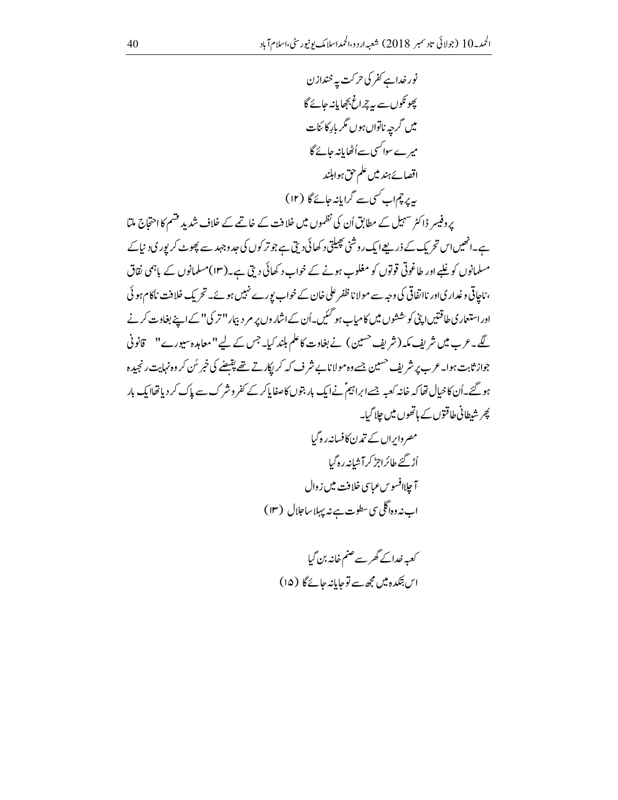نور خداہے کفر کی حرکت پہ خنداز ن پھونکوں سے ہہ چراغ بجھایانہ جائے گا میں گرجہ ناتواں ہوں مگر بار کا <sup>ب</sup>نات میرےسواکسی سےاُٹھایانہ جائے گا اقصائے ہند میں علم حق ہوابلند بیر پر چماب کسی سے گرایانہ جائے گا (۱۲)

پروفیسر ڈاکٹر سہیل کے مطابق اُن کی نظموں میں خلافت کے خاتمے کے خلاف شدید قسم کا احتجاج ملتا ہے۔انھیںاس تحریک کے ذریعےایک روشنی پھیلتی د کھائی دیتی ہے جو تر کوں کی جد وجہد سے پھوٹ کر پوری د نیاکے مسلمانوں کو غلبے اور طاغوتی قوتوں کو مغلوب ہونے کے خواب د کھائی دیتی ہے۔(۱۳)مسلمانوں کے ہاہمی نقاق ، ناجاتی وغدار کیاور نااتفاقی کی وجہ سے مولا ناظفر علی خان کے خواب پورے نہیں ہوئے۔ تحریک خلافت ناکام ہو ئی اوراستعار ی طاقتیں اپنی کوششوں میں کامیاب ہو گئیں۔اُن کے اشاروں پر مر دبیار ''تر کی'' کے اپنے بغاوت کرنے گے۔عرب میں شریف مکہ (شریف <sup>حسین</sup>) نے بغاوت کاعلم ہلند کیا۔جس کے لیے"معاہدہ سیورے" قانونی جواز ثابت ہوا۔ عرب پر شریف حسین جسے وہ مولا نابے شرف کہ کر ایکار تے تھے پقیضے کی خبر سُن کر وہ نہایت رنجید ہ ہو گئے۔اُن کا خیال تھا کہ خانہ کعبہ جسے ابراہیم ؑنے ایک بار بتوں کاصفایاکر کے کفر وشر ک سے پاک کر دیاتھاایک بار <sup>ک</sup>یر شطانی طاقتوں کے ہاتھوں میں چلا گیا۔